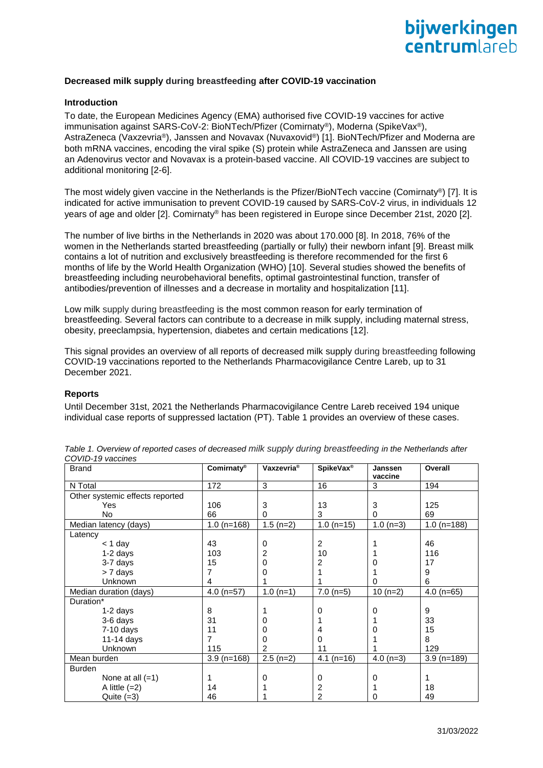

### **Decreased milk supply during breastfeeding after COVID-19 vaccination**

## **Introduction**

To date, the European Medicines Agency (EMA) authorised five COVID-19 vaccines for active immunisation against SARS-CoV-2: BioNTech/Pfizer (Comirnaty®), Moderna (SpikeVax®), AstraZeneca (Vaxzevria®), Janssen and Novavax (Nuvaxovid®) [1]. BioNTech/Pfizer and Moderna are both mRNA vaccines, encoding the viral spike (S) protein while AstraZeneca and Janssen are using an Adenovirus vector and Novavax is a protein-based vaccine. All COVID-19 vaccines are subject to additional monitoring [2-6].

The most widely given vaccine in the Netherlands is the Pfizer/BioNTech vaccine (Comirnaty®) [7]. It is indicated for active immunisation to prevent COVID-19 caused by SARS-CoV-2 virus, in individuals 12 years of age and older [2]. Comirnaty® has been registered in Europe since December 21st, 2020 [2].

The number of live births in the Netherlands in 2020 was about 170.000 [8]. In 2018, 76% of the women in the Netherlands started breastfeeding (partially or fully) their newborn infant [9]. Breast milk contains a lot of nutrition and exclusively breastfeeding is therefore recommended for the first 6 months of life by the World Health Organization (WHO) [10]. Several studies showed the benefits of breastfeeding including neurobehavioral benefits, optimal gastrointestinal function, transfer of antibodies/prevention of illnesses and a decrease in mortality and hospitalization [11].

Low milk supply during breastfeeding is the most common reason for early termination of breastfeeding. Several factors can contribute to a decrease in milk supply, including maternal stress, obesity, preeclampsia, hypertension, diabetes and certain medications [12].

This signal provides an overview of all reports of decreased milk supply during breastfeeding following COVID-19 vaccinations reported to the Netherlands Pharmacovigilance Centre Lareb, up to 31 December 2021.

#### **Reports**

Until December 31st, 2021 the Netherlands Pharmacovigilance Centre Lareb received 194 unique individual case reports of suppressed lactation (PT). Table 1 provides an overview of these cases.

| <b>Brand</b>                    | Comirnaty®    | Vaxzevria <sup>®</sup> | SpikeVax <sup>®</sup>   | Janssen<br>vaccine | Overall       |
|---------------------------------|---------------|------------------------|-------------------------|--------------------|---------------|
| N Total                         | 172           | 3                      | 16                      | 3                  | 194           |
| Other systemic effects reported |               |                        |                         |                    |               |
| Yes                             | 106           | 3                      | 13                      | 3                  | 125           |
| <b>No</b>                       | 66            | $\mathbf 0$            | 3                       | $\mathbf 0$        | 69            |
| Median latency (days)           | $1.0$ (n=168) | $1.5$ (n=2)            | $1.0$ (n=15)            | $1.0(n=3)$         | $1.0$ (n=188) |
| Latency                         |               |                        |                         |                    |               |
| $<$ 1 day                       | 43            | 0                      | $\overline{2}$          | 1                  | 46            |
| $1-2$ days                      | 103           | 2                      | 10                      |                    | 116           |
| 3-7 days                        | 15            | 0                      | 2                       | 0                  | 17            |
| > 7 days                        | 7             | 0                      |                         |                    | 9             |
| Unknown                         | 4             |                        |                         | 0                  | 6             |
| Median duration (days)          | $4.0$ (n=57)  | $1.0(n=1)$             | $7.0$ (n=5)             | $10(n=2)$          | $4.0$ (n=65)  |
| Duration*                       |               |                        |                         |                    |               |
| 1-2 days                        | 8             |                        | 0                       | 0                  | 9             |
| 3-6 days                        | 31            | 0                      |                         |                    | 33            |
| 7-10 days                       | 11            | 0                      | 4                       | 0                  | 15            |
| $11-14$ days                    | 7             | 0                      | 0                       |                    | 8             |
| Unknown                         | 115           | 2                      | 11                      |                    | 129           |
| Mean burden                     | $3.9$ (n=168) | $2.5(n=2)$             | 4.1<br>$(n=16)$         | $4.0(n=3)$         | $3.9$ (n=189) |
| <b>Burden</b>                   |               |                        |                         |                    |               |
| None at all $(=1)$              | 1             | 0                      | 0                       | 0                  | 1             |
| A little $(=2)$                 | 14            |                        | $\overline{\mathbf{c}}$ |                    | 18            |
| Quite $(=3)$                    | 46            |                        | $\overline{2}$          | 0                  | 49            |

| Table 1. Overview of reported cases of decreased milk supply during breastfeeding in the Netherlands after |  |
|------------------------------------------------------------------------------------------------------------|--|
| COVID-19 vaccines                                                                                          |  |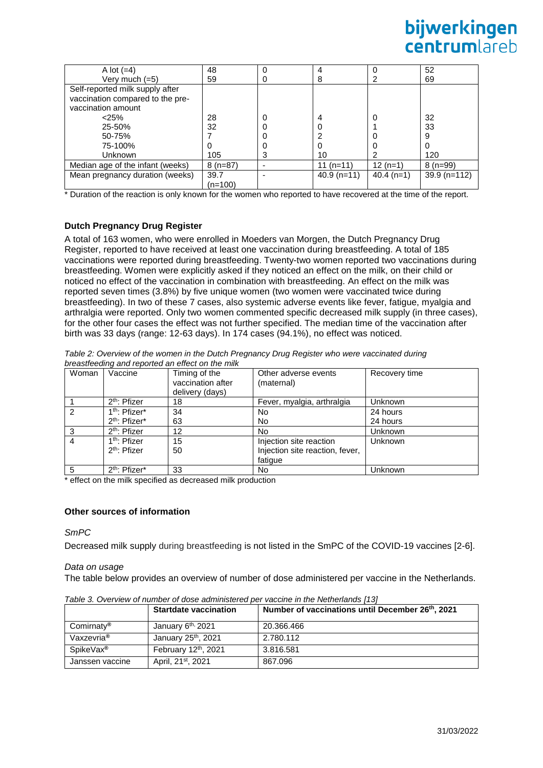# bijwerkingen centrumlareh

| A lot $(=4)$                     | 48        | 0 |               |              | 52            |
|----------------------------------|-----------|---|---------------|--------------|---------------|
| Very much $(=5)$                 | 59        | O | 8             |              | 69            |
| Self-reported milk supply after  |           |   |               |              |               |
| vaccination compared to the pre- |           |   |               |              |               |
| vaccination amount               |           |   |               |              |               |
| $<$ 25%                          | 28        | 0 | 4             | 0            | 32            |
| 25-50%                           | 32        | 0 | 0             |              | 33            |
| 50-75%                           |           | 0 | ົ             |              | 9             |
| 75-100%                          | O         | 0 | 0             |              | 0             |
| Unknown                          | 105       | 3 | 10            |              | 120           |
| Median age of the infant (weeks) | $8(n=87)$ |   | 11 $(n=11)$   | $12(n=1)$    | $8(n=99)$     |
| Mean pregnancy duration (weeks)  | 39.7      |   | $40.9$ (n=11) | $40.4$ (n=1) | $39.9(n=112)$ |
|                                  | $(n=100)$ |   |               |              |               |

\* Duration of the reaction is only known for the women who reported to have recovered at the time of the report.

# **Dutch Pregnancy Drug Register**

A total of 163 women, who were enrolled in Moeders van Morgen, the Dutch Pregnancy Drug Register, reported to have received at least one vaccination during breastfeeding. A total of 185 vaccinations were reported during breastfeeding. Twenty-two women reported two vaccinations during breastfeeding. Women were explicitly asked if they noticed an effect on the milk, on their child or noticed no effect of the vaccination in combination with breastfeeding. An effect on the milk was reported seven times (3.8%) by five unique women (two women were vaccinated twice during breastfeeding). In two of these 7 cases, also systemic adverse events like fever, fatigue, myalgia and arthralgia were reported. Only two women commented specific decreased milk supply (in three cases), for the other four cases the effect was not further specified. The median time of the vaccination after birth was 33 days (range: 12-63 days). In 174 cases (94.1%), no effect was noticed.

| Table 2: Overview of the women in the Dutch Pregnancy Drug Register who were vaccinated during |  |
|------------------------------------------------------------------------------------------------|--|
| breastfeeding and reported an effect on the milk                                               |  |

| Woman         | Vaccine                   | Timing of the<br>vaccination after<br>delivery (days) | Other adverse events<br>(maternal) | Recovery time |
|---------------|---------------------------|-------------------------------------------------------|------------------------------------|---------------|
|               | 2 <sup>th</sup> : Pfizer  | 18                                                    | Fever, myalgia, arthralgia         | Unknown       |
| $\mathcal{P}$ | 1 <sup>th</sup> : Pfizer* | 34                                                    | No.                                | 24 hours      |
|               | 2 <sup>th</sup> : Pfizer* | 63                                                    | No.                                | 24 hours      |
| 3             | 2 <sup>th</sup> : Pfizer  | 12                                                    | No.                                | Unknown       |
| 4             | 1 <sup>th</sup> : Pfizer  | 15                                                    | Injection site reaction            | Unknown       |
|               | $2th$ : Pfizer            | 50                                                    | Injection site reaction, fever,    |               |
|               |                           |                                                       | fatigue                            |               |
| 5             | 2 <sup>th</sup> : Pfizer* | 33                                                    | No.                                | Unknown       |

\* effect on the milk specified as decreased milk production

#### **Other sources of information**

*SmPC*

Decreased milk supply during breastfeeding is not listed in the SmPC of the COVID-19 vaccines [2-6].

#### *Data on usage*

The table below provides an overview of number of dose administered per vaccine in the Netherlands.

|                        | <b>Startdate vaccination</b>     | Number of vaccinations until December 26th, 2021 |
|------------------------|----------------------------------|--------------------------------------------------|
| Comirnaty <sup>®</sup> | January 6 <sup>th,</sup> 2021    | 20.366.466                                       |
| Vaxzevria <sup>®</sup> | January 25 <sup>th</sup> , 2021  | 2.780.112                                        |
| SpikeVax <sup>®</sup>  | February 12 <sup>th</sup> , 2021 | 3.816.581                                        |
| Janssen vaccine        | April, 21 <sup>st</sup> , 2021   | 867.096                                          |

*Table 3. Overview of number of dose administered per vaccine in the Netherlands [13]*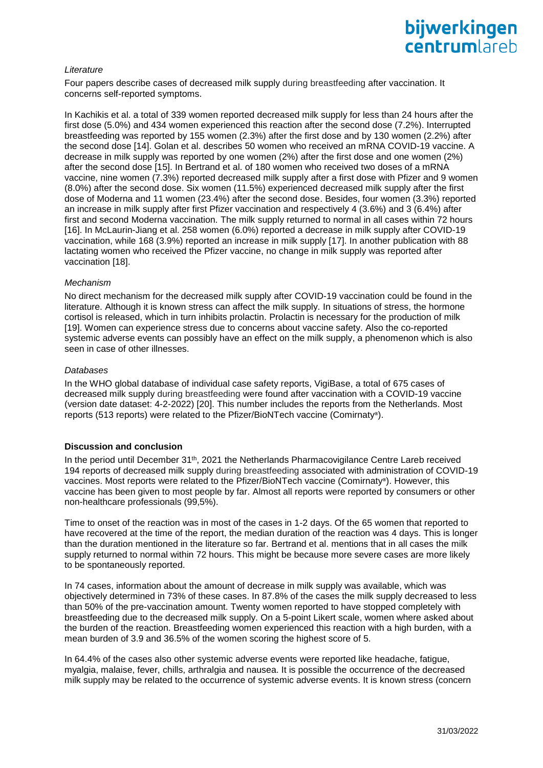## *Literature*

Four papers describe cases of decreased milk supply during breastfeeding after vaccination. It concerns self-reported symptoms.

In Kachikis et al. a total of 339 women reported decreased milk supply for less than 24 hours after the first dose (5.0%) and 434 women experienced this reaction after the second dose (7.2%). Interrupted breastfeeding was reported by 155 women (2.3%) after the first dose and by 130 women (2.2%) after the second dose [14]. Golan et al. describes 50 women who received an mRNA COVID-19 vaccine. A decrease in milk supply was reported by one women (2%) after the first dose and one women (2%) after the second dose [15]. In Bertrand et al. of 180 women who received two doses of a mRNA vaccine, nine women (7.3%) reported decreased milk supply after a first dose with Pfizer and 9 women (8.0%) after the second dose. Six women (11.5%) experienced decreased milk supply after the first dose of Moderna and 11 women (23.4%) after the second dose. Besides, four women (3.3%) reported an increase in milk supply after first Pfizer vaccination and respectively 4 (3.6%) and 3 (6.4%) after first and second Moderna vaccination. The milk supply returned to normal in all cases within 72 hours [16]. In McLaurin-Jiang et al. 258 women (6.0%) reported a decrease in milk supply after COVID-19 vaccination, while 168 (3.9%) reported an increase in milk supply [17]. In another publication with 88 lactating women who received the Pfizer vaccine, no change in milk supply was reported after vaccination [18].

#### *Mechanism*

No direct mechanism for the decreased milk supply after COVID-19 vaccination could be found in the literature. Although it is known stress can affect the milk supply. In situations of stress, the hormone cortisol is released, which in turn inhibits prolactin. Prolactin is necessary for the production of milk [19]. Women can experience stress due to concerns about vaccine safety. Also the co-reported systemic adverse events can possibly have an effect on the milk supply, a phenomenon which is also seen in case of other illnesses.

#### *Databases*

In the WHO global database of individual case safety reports, VigiBase, a total of 675 cases of decreased milk supply during breastfeeding were found after vaccination with a COVID-19 vaccine (version date dataset: 4-2-2022) [20]. This number includes the reports from the Netherlands. Most reports (513 reports) were related to the Pfizer/BioNTech vaccine (Comirnaty**®** ).

#### **Discussion and conclusion**

In the period until December 31<sup>th</sup>, 2021 the Netherlands Pharmacovigilance Centre Lareb received 194 reports of decreased milk supply during breastfeeding associated with administration of COVID-19 vaccines. Most reports were related to the Pfizer/BioNTech vaccine (Comirnaty**®** ). However, this vaccine has been given to most people by far. Almost all reports were reported by consumers or other non-healthcare professionals (99,5%).

Time to onset of the reaction was in most of the cases in 1-2 days. Of the 65 women that reported to have recovered at the time of the report, the median duration of the reaction was 4 days. This is longer than the duration mentioned in the literature so far. Bertrand et al. mentions that in all cases the milk supply returned to normal within 72 hours. This might be because more severe cases are more likely to be spontaneously reported.

In 74 cases, information about the amount of decrease in milk supply was available, which was objectively determined in 73% of these cases. In 87.8% of the cases the milk supply decreased to less than 50% of the pre-vaccination amount. Twenty women reported to have stopped completely with breastfeeding due to the decreased milk supply. On a 5-point Likert scale, women where asked about the burden of the reaction. Breastfeeding women experienced this reaction with a high burden, with a mean burden of 3.9 and 36.5% of the women scoring the highest score of 5.

In 64.4% of the cases also other systemic adverse events were reported like headache, fatigue, myalgia, malaise, fever, chills, arthralgia and nausea. It is possible the occurrence of the decreased milk supply may be related to the occurrence of systemic adverse events. It is known stress (concern